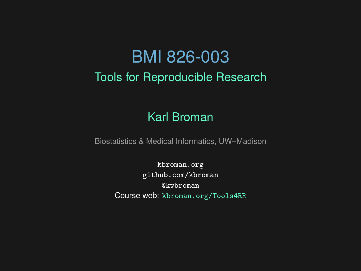# BMI 826-003

Tools for Reproducible Research

#### Karl Broman

Biostatistics & Medical Informatics, UW–Madison

kbroman.org github.com/kbroman @kwbroman Course web: kbroman.org/Tools4RR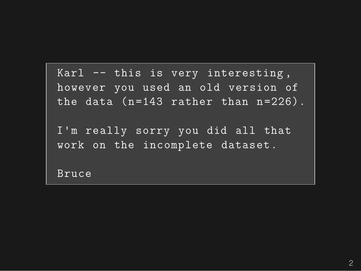Karl -- this is very interesting , however you used an old version of the data (n=143 rather than n=226).

I'm really sorry you did all that work on the incomplete dataset.

Bruce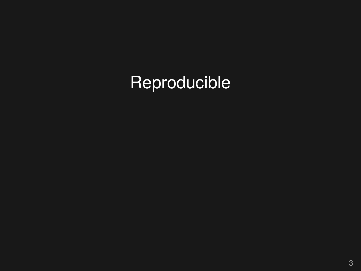# Reproducible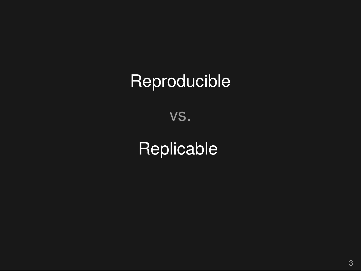# **Reproducible**

vs.

# Replicable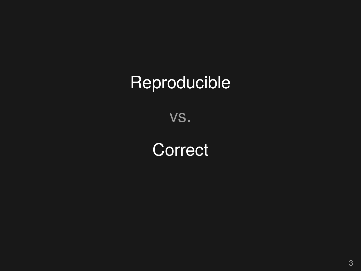# Reproducible

vs.

**Correct**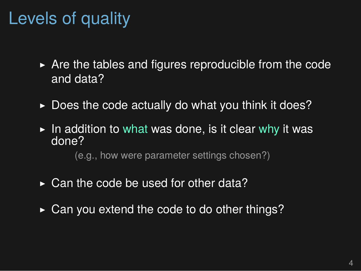# Levels of quality

- $\triangleright$  Are the tables and figures reproducible from the code and data?
- $\triangleright$  Does the code actually do what you think it does?
- $\triangleright$  In addition to what was done, is it clear why it was done?

(e.g., how were parameter settings chosen?)

- $\triangleright$  Can the code be used for other data?
- ▶ Can you extend the code to do other things?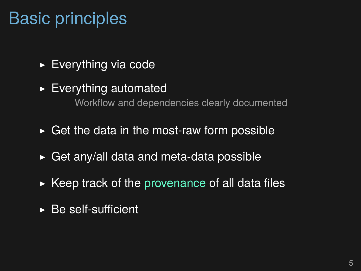# Basic principles

- ▶ Everything via code
- $\blacktriangleright$  Everything automated Workflow and dependencies clearly documented
- $\triangleright$  Get the data in the most-raw form possible
- $\triangleright$  Get any/all data and meta-data possible
- $\triangleright$  Keep track of the provenance of all data files
- $\triangleright$  Be self-sufficient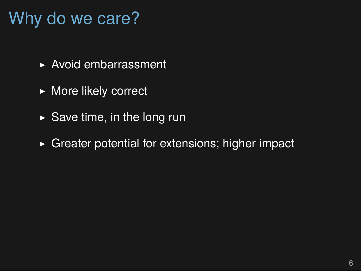# Why do we care?

- ▶ Avoid embarrassment
- ▶ More likely correct
- $\triangleright$  Save time, in the long run
- $\triangleright$  Greater potential for extensions; higher impact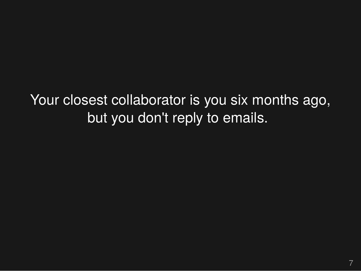Your closest collaborator is you six months ago, but you don't reply to emails.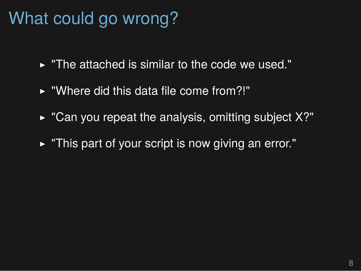# What could go wrong?

- $\triangleright$  "The attached is similar to the code we used."
- ▶ "Where did this data file come from?!"
- $\triangleright$  "Can you repeat the analysis, omitting subject X?"
- ▶ "This part of your script is now giving an error."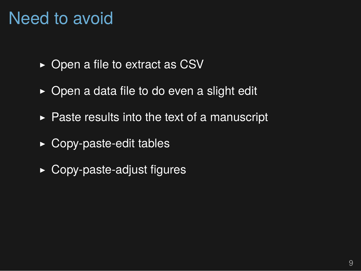## Need to avoid

- ▶ Open a file to extract as CSV
- $\triangleright$  Open a data file to do even a slight edit
- $\triangleright$  Paste results into the text of a manuscript
- $\rightarrow$  Copy-paste-edit tables
- ▶ Copy-paste-adjust figures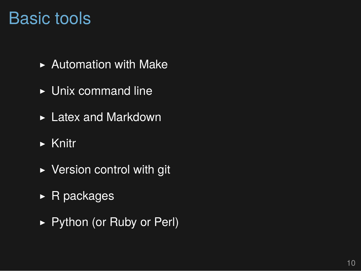#### Basic tools

- $\blacktriangleright$  Automation with Make
- ▶ Unix command line
- ▶ Latex and Markdown
- $\triangleright$  Knitr
- ▶ Version control with git
- ▶ R packages
- ▶ Python (or Ruby or Perl)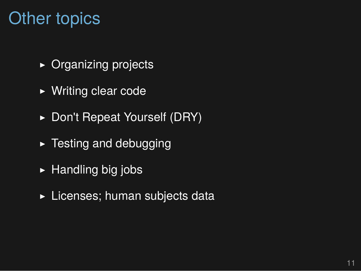## Other topics

- ▶ Organizing projects
- ▶ Writing clear code
- ▶ Don't Repeat Yourself (DRY)
- $\blacktriangleright$  Testing and debugging
- $\blacktriangleright$  Handling big jobs
- ▶ Licenses; human subjects data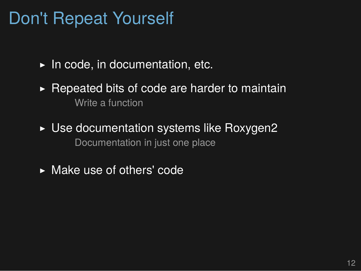### Don't Repeat Yourself

- $\blacktriangleright$  In code, in documentation, etc.
- $\triangleright$  Repeated bits of code are harder to maintain Write a function
- ▶ Use documentation systems like Roxygen2 Documentation in just one place
- ▶ Make use of others' code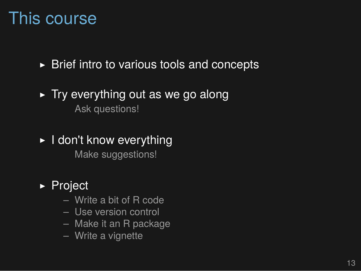#### This course

 $\triangleright$  Brief intro to various tools and concepts

#### $\triangleright$  Try everything out as we go along Ask questions!

▶ I don't know everything Make suggestions!

#### ▶ Project

- Write a bit of R code
- Use version control
- Make it an R package
- Write a vignette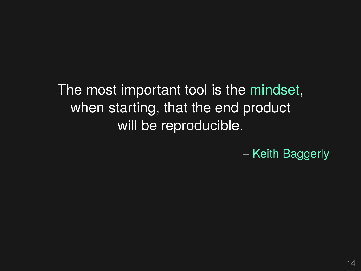The most important tool is the mindset, when starting, that the end product will be reproducible.

– Keith Baggerly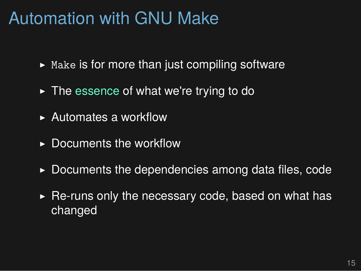### Automation with GNU Make

- $\triangleright$  Make is for more than just compiling software
- $\triangleright$  The essence of what we're trying to do
- ▶ Automates a workflow
- $\triangleright$  Documents the workflow
- $\triangleright$  Documents the dependencies among data files, code
- $\triangleright$  Re-runs only the necessary code, based on what has changed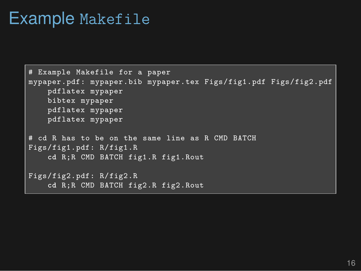#### Example Makefile

```
# Example Makefile for a paper
mypaper.pdf: mypaper.bib mypaper.tex Figs/fig1.pdf Figs/fig2.pdf
    pdflatex mypaper
    bibtex mypaper
    pdflatex mypaper
    pdflatex mypaper
# cd R has to be on the same line as R CMD BATCH
Figs/fig1.pdf: R/fig1.R
    cd R;R CMD BATCH fig1.R fig1.Rout
Figs/fig2.pdf: R/fig2.R
    cd R;R CMD BATCH fig2.R fig2.Rout
```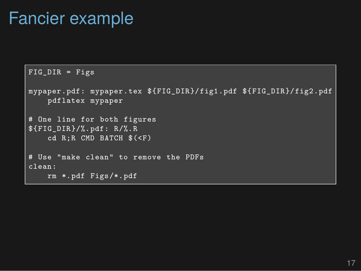#### Fancier example

```
FIG_DIR = Figs
mypaper.pdf: mypaper.tex ${FIG_DIR}/fig1.pdf ${FIG_DIR}/fig2.pdf
    pdflatex mypaper
# One line for both figures
${FIG_DIR}/%.pdf: R/%.R
    cd R;R CMD BATCH $(<F)
# Use "make clean" to remove the PDFs
clean:
    rm *.pdf Figs/*.pdf
```